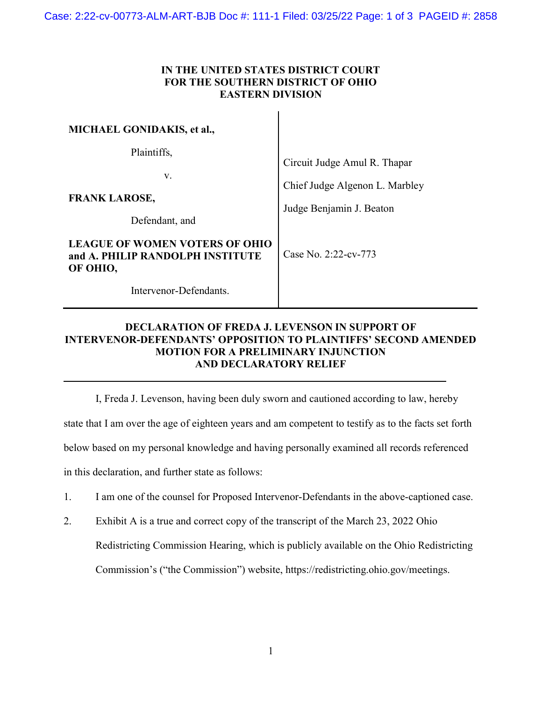## IN THE UNITED STATES DISTRICT COURT FOR THE SOUTHERN DISTRICT OF OHIO EASTERN DIVISION

| <b>MICHAEL GONIDAKIS, et al.,</b>                                              |                                                                                            |
|--------------------------------------------------------------------------------|--------------------------------------------------------------------------------------------|
| Plaintiffs,<br>V.<br><b>FRANK LAROSE,</b>                                      | Circuit Judge Amul R. Thapar<br>Chief Judge Algenon L. Marbley<br>Judge Benjamin J. Beaton |
| Defendant, and                                                                 |                                                                                            |
| LEAGUE OF WOMEN VOTERS OF OHIO<br>and A. PHILIP RANDOLPH INSTITUTE<br>OF OHIO, | Case No. 2:22-cv-773                                                                       |
| Intervenor-Defendants.                                                         |                                                                                            |

## DECLARATION OF FREDA J. LEVENSON IN SUPPORT OF INTERVENOR-DEFENDANTS' OPPOSITION TO PLAINTIFFS' SECOND AMENDED MOTION FOR A PRELIMINARY INJUNCTION AND DECLARATORY RELIEF

I, Freda J. Levenson, having been duly sworn and cautioned according to law, hereby

state that I am over the age of eighteen years and am competent to testify as to the facts set forth

below based on my personal knowledge and having personally examined all records referenced

in this declaration, and further state as follows:

L

- 1. I am one of the counsel for Proposed Intervenor-Defendants in the above-captioned case.
- 2. Exhibit A is a true and correct copy of the transcript of the March 23, 2022 Ohio Redistricting Commission Hearing, which is publicly available on the Ohio Redistricting Commission's ("the Commission") website, https://redistricting.ohio.gov/meetings.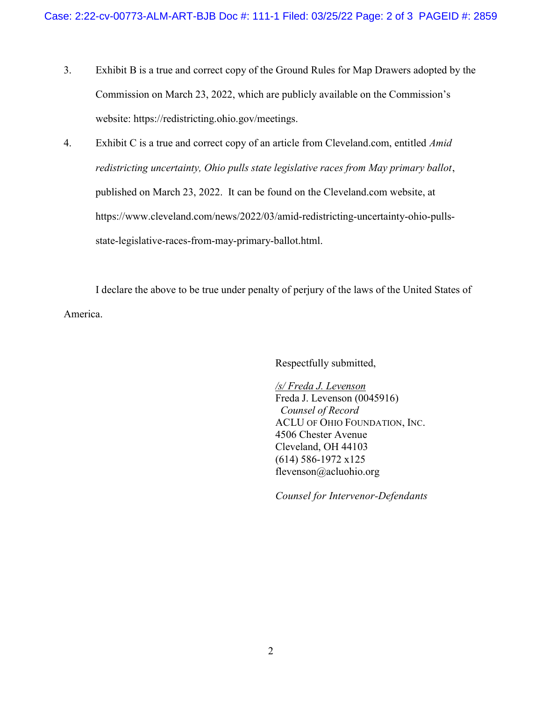- 3. Exhibit B is a true and correct copy of the Ground Rules for Map Drawers adopted by the Commission on March 23, 2022, which are publicly available on the Commission's website: https://redistricting.ohio.gov/meetings.
- 4. Exhibit C is a true and correct copy of an article from Cleveland.com, entitled *Amid* redistricting uncertainty, Ohio pulls state legislative races from May primary ballot, published on March 23, 2022. It can be found on the Cleveland.com website, at https://www.cleveland.com/news/2022/03/amid-redistricting-uncertainty-ohio-pullsstate-legislative-races-from-may-primary-ballot.html.

I declare the above to be true under penalty of perjury of the laws of the United States of America.

Respectfully submitted,

/s/ Freda J. Levenson Freda J. Levenson (0045916) Counsel of Record ACLU OF OHIO FOUNDATION, INC. 4506 Chester Avenue Cleveland, OH 44103 (614) 586-1972 x125 flevenson@acluohio.org

Counsel for Intervenor-Defendants